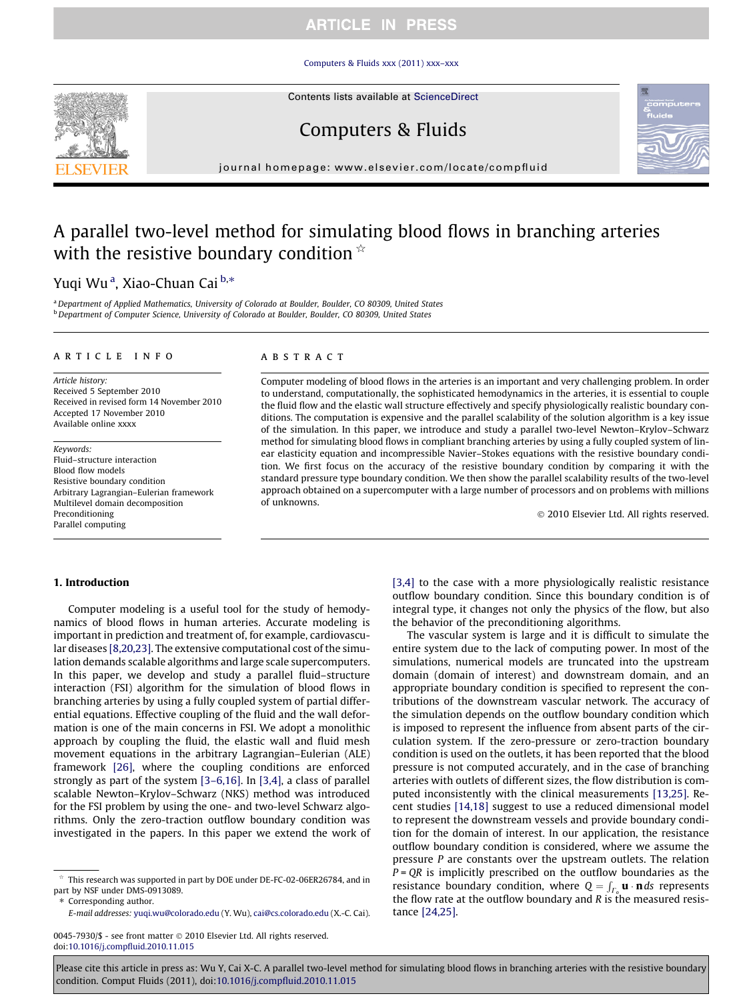### [Computers & Fluids xxx \(2011\) xxx–xxx](http://dx.doi.org/10.1016/j.compfluid.2010.11.015)

Contents lists available at [ScienceDirect](http://www.sciencedirect.com/science/journal/00457930)

# Computers & Fluids

journal homepage: [www.elsevier.com/locate/compfluid](http://www.elsevier.com/locate/compfluid)

# A parallel two-level method for simulating blood flows in branching arteries with the resistive boundary condition  $\dot{\alpha}$

# Yuqi Wuª, Xiao-Chuan Cai <sup>b,</sup>\*

a Department of Applied Mathematics, University of Colorado at Boulder, Boulder, CO 80309, United States <sup>b</sup> Department of Computer Science, University of Colorado at Boulder, Boulder, CO 80309, United States

#### article info

Article history: Received 5 September 2010 Received in revised form 14 November 2010 Accepted 17 November 2010 Available online xxxx

Keywords: Fluid–structure interaction Blood flow models Resistive boundary condition Arbitrary Lagrangian–Eulerian framework Multilevel domain decomposition Preconditioning Parallel computing

#### ABSTRACT

Computer modeling of blood flows in the arteries is an important and very challenging problem. In order to understand, computationally, the sophisticated hemodynamics in the arteries, it is essential to couple the fluid flow and the elastic wall structure effectively and specify physiologically realistic boundary conditions. The computation is expensive and the parallel scalability of the solution algorithm is a key issue of the simulation. In this paper, we introduce and study a parallel two-level Newton–Krylov–Schwarz method for simulating blood flows in compliant branching arteries by using a fully coupled system of linear elasticity equation and incompressible Navier–Stokes equations with the resistive boundary condition. We first focus on the accuracy of the resistive boundary condition by comparing it with the standard pressure type boundary condition. We then show the parallel scalability results of the two-level approach obtained on a supercomputer with a large number of processors and on problems with millions of unknowns.

- 2010 Elsevier Ltd. All rights reserved.

#### 1. Introduction

Computer modeling is a useful tool for the study of hemodynamics of blood flows in human arteries. Accurate modeling is important in prediction and treatment of, for example, cardiovascular diseases [\[8,20,23\].](#page-10-0) The extensive computational cost of the simulation demands scalable algorithms and large scale supercomputers. In this paper, we develop and study a parallel fluid–structure interaction (FSI) algorithm for the simulation of blood flows in branching arteries by using a fully coupled system of partial differential equations. Effective coupling of the fluid and the wall deformation is one of the main concerns in FSI. We adopt a monolithic approach by coupling the fluid, the elastic wall and fluid mesh movement equations in the arbitrary Lagrangian–Eulerian (ALE) framework [\[26\]](#page-10-0), where the coupling conditions are enforced strongly as part of the system [\[3–6,16\].](#page-10-0) In [\[3,4\]](#page-10-0), a class of parallel scalable Newton–Krylov–Schwarz (NKS) method was introduced for the FSI problem by using the one- and two-level Schwarz algorithms. Only the zero-traction outflow boundary condition was investigated in the papers. In this paper we extend the work of

⇑ Corresponding author.

0045-7930/\$ - see front matter © 2010 Elsevier Ltd. All rights reserved. doi[:10.1016/j.compfluid.2010.11.015](http://dx.doi.org/10.1016/j.compfluid.2010.11.015)

[\[3,4\]](#page-10-0) to the case with a more physiologically realistic resistance outflow boundary condition. Since this boundary condition is of integral type, it changes not only the physics of the flow, but also the behavior of the preconditioning algorithms.

The vascular system is large and it is difficult to simulate the entire system due to the lack of computing power. In most of the simulations, numerical models are truncated into the upstream domain (domain of interest) and downstream domain, and an appropriate boundary condition is specified to represent the contributions of the downstream vascular network. The accuracy of the simulation depends on the outflow boundary condition which is imposed to represent the influence from absent parts of the circulation system. If the zero-pressure or zero-traction boundary condition is used on the outlets, it has been reported that the blood pressure is not computed accurately, and in the case of branching arteries with outlets of different sizes, the flow distribution is computed inconsistently with the clinical measurements [\[13,25\].](#page-10-0) Recent studies [\[14,18\]](#page-10-0) suggest to use a reduced dimensional model to represent the downstream vessels and provide boundary condition for the domain of interest. In our application, the resistance outflow boundary condition is considered, where we assume the pressure P are constants over the upstream outlets. The relation  $P = QR$  is implicitly prescribed on the outflow boundaries as the resistance boundary condition, where  $Q = \int_{\Gamma_0} \mathbf{u} \cdot \mathbf{n} ds$  represents the flow rate at the outflow boundary and  *is the measured resis*tance [\[24,25\]](#page-10-0).





This research was supported in part by DOE under DE-FC-02-06ER26784, and in part by NSF under DMS-0913089.

E-mail addresses: [yuqi.wu@colorado.edu](mailto:yuqi.wu@colorado.edu) (Y. Wu), [cai@cs.colorado.edu](mailto:cai@cs.colorado.edu ) (X.-C. Cai).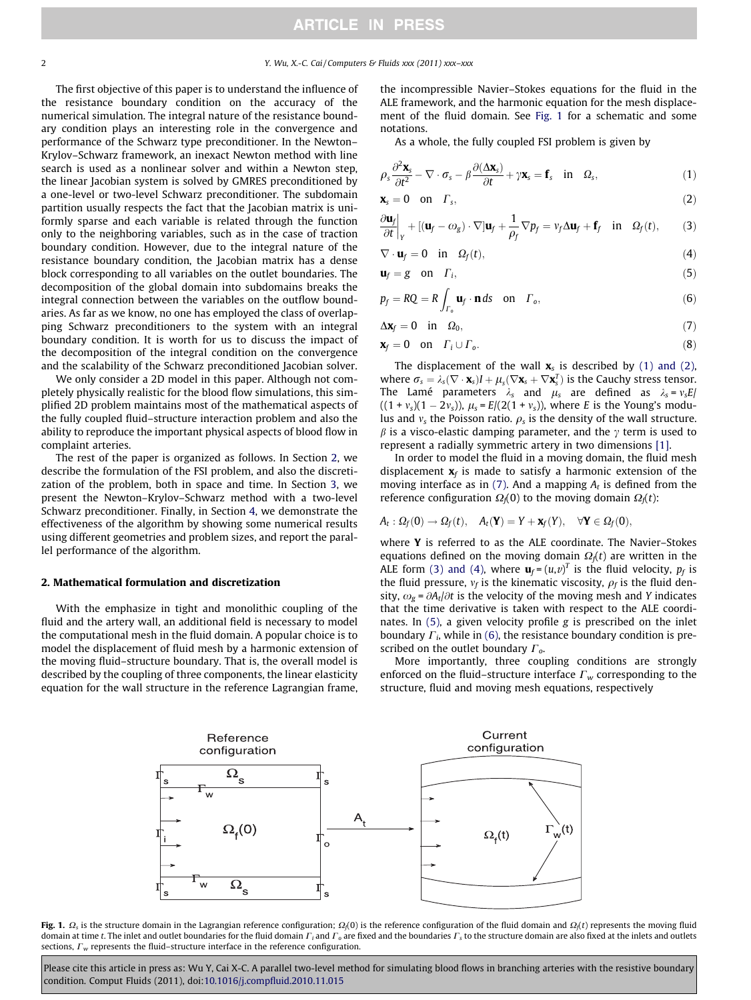<span id="page-1-0"></span>

The first objective of this paper is to understand the influence of the resistance boundary condition on the accuracy of the numerical simulation. The integral nature of the resistance boundary condition plays an interesting role in the convergence and performance of the Schwarz type preconditioner. In the Newton– Krylov–Schwarz framework, an inexact Newton method with line search is used as a nonlinear solver and within a Newton step, the linear Jacobian system is solved by GMRES preconditioned by a one-level or two-level Schwarz preconditioner. The subdomain partition usually respects the fact that the Jacobian matrix is uniformly sparse and each variable is related through the function only to the neighboring variables, such as in the case of traction boundary condition. However, due to the integral nature of the resistance boundary condition, the Jacobian matrix has a dense block corresponding to all variables on the outlet boundaries. The decomposition of the global domain into subdomains breaks the integral connection between the variables on the outflow boundaries. As far as we know, no one has employed the class of overlapping Schwarz preconditioners to the system with an integral boundary condition. It is worth for us to discuss the impact of the decomposition of the integral condition on the convergence and the scalability of the Schwarz preconditioned Jacobian solver.

We only consider a 2D model in this paper. Although not completely physically realistic for the blood flow simulations, this simplified 2D problem maintains most of the mathematical aspects of the fully coupled fluid–structure interaction problem and also the ability to reproduce the important physical aspects of blood flow in complaint arteries.

The rest of the paper is organized as follows. In Section 2, we describe the formulation of the FSI problem, and also the discretization of the problem, both in space and time. In Section [3](#page-2-0), we present the Newton–Krylov–Schwarz method with a two-level Schwarz preconditioner. Finally, in Section [4,](#page-3-0) we demonstrate the effectiveness of the algorithm by showing some numerical results using different geometries and problem sizes, and report the parallel performance of the algorithm.

#### 2. Mathematical formulation and discretization

With the emphasize in tight and monolithic coupling of the fluid and the artery wall, an additional field is necessary to model the computational mesh in the fluid domain. A popular choice is to model the displacement of fluid mesh by a harmonic extension of the moving fluid–structure boundary. That is, the overall model is described by the coupling of three components, the linear elasticity equation for the wall structure in the reference Lagrangian frame, the incompressible Navier–Stokes equations for the fluid in the ALE framework, and the harmonic equation for the mesh displacement of the fluid domain. See Fig. 1 for a schematic and some notations.

As a whole, the fully coupled FSI problem is given by

$$
\rho_s \frac{\partial^2 \mathbf{x}_s}{\partial t^2} - \nabla \cdot \boldsymbol{\sigma}_s - \beta \frac{\partial (\Delta \mathbf{x}_s)}{\partial t} + \gamma \mathbf{x}_s = \mathbf{f}_s \quad \text{in} \quad \Omega_s,
$$
\n(1)

$$
\mathbf{x}_s = \mathbf{0} \quad \text{on} \quad \Gamma_s,\tag{2}
$$

$$
\frac{\partial \mathbf{u}_f}{\partial t}\bigg|_Y + [(\mathbf{u}_f - \omega_g) \cdot \nabla] \mathbf{u}_f + \frac{1}{\rho_f} \nabla p_f = v_f \Delta \mathbf{u}_f + \mathbf{f}_f \quad \text{in} \quad \Omega_f(t), \tag{3}
$$

$$
\nabla \cdot \mathbf{u}_f = 0 \quad \text{in} \quad \Omega_f(t), \tag{4}
$$

$$
\mathbf{u}_f = \mathbf{g} \quad \text{on} \quad \Gamma_i,\tag{5}
$$

$$
p_f = RQ = R \int_{\Gamma_0} \mathbf{u}_f \cdot \mathbf{n} \, ds \quad \text{on} \quad \Gamma_0,\tag{6}
$$

$$
\Delta \mathbf{x}_f = 0 \quad \text{in} \quad \Omega_0,\tag{7}
$$

$$
\mathbf{x}_f = \mathbf{0} \quad \text{on} \quad \Gamma_i \cup \Gamma_o. \tag{8}
$$

The displacement of the wall  $\mathbf{x}_s$  is described by (1) and (2), where  $\sigma_s = \lambda_s (\nabla \cdot \mathbf{x}_s) I + \mu_s (\nabla \mathbf{x}_s + \nabla \mathbf{x}_s^T)$  is the Cauchy stress tensor. The Lamé parameters  $\lambda_s$  and  $\mu_s$  are defined as  $\lambda_s = v_s E/$  $((1 + v_s)(1 - 2v_s)), \mu_s = E/(2(1 + v_s)),$  where E is the Young's modulus and  $v_s$  the Poisson ratio.  $\rho_s$  is the density of the wall structure.  $\beta$  is a visco-elastic damping parameter, and the  $\gamma$  term is used to represent a radially symmetric artery in two dimensions [\[1\].](#page-10-0)

In order to model the fluid in a moving domain, the fluid mesh displacement  $x_f$  is made to satisfy a harmonic extension of the moving interface as in (7). And a mapping  $A_t$  is defined from the reference configuration  $\Omega_f(0)$  to the moving domain  $\Omega_f(t)$ :

$$
A_t: \Omega_f(0) \to \Omega_f(t), \quad A_t(\mathbf{Y}) = Y + \mathbf{x}_f(Y), \quad \forall \mathbf{Y} \in \Omega_f(0),
$$

where **Y** is referred to as the ALE coordinate. The Navier–Stokes equations defined on the moving domain  $\Omega_f(t)$  are written in the ALE form (3) and (4), where  $\mathbf{u}_f = (u,v)^T$  is the fluid velocity,  $p_f$  is the fluid pressure,  $v_f$  is the kinematic viscosity,  $\rho_f$  is the fluid density,  $\omega_{\rm g}$  =  $\partial A_t/\partial t$  is the velocity of the moving mesh and Y indicates that the time derivative is taken with respect to the ALE coordinates. In (5), a given velocity profile g is prescribed on the inlet boundary  $\Gamma_i$ , while in (6), the resistance boundary condition is prescribed on the outlet boundary  $\Gamma_o$ .

More importantly, three coupling conditions are strongly enforced on the fluid–structure interface  $\Gamma_w$  corresponding to the structure, fluid and moving mesh equations, respectively



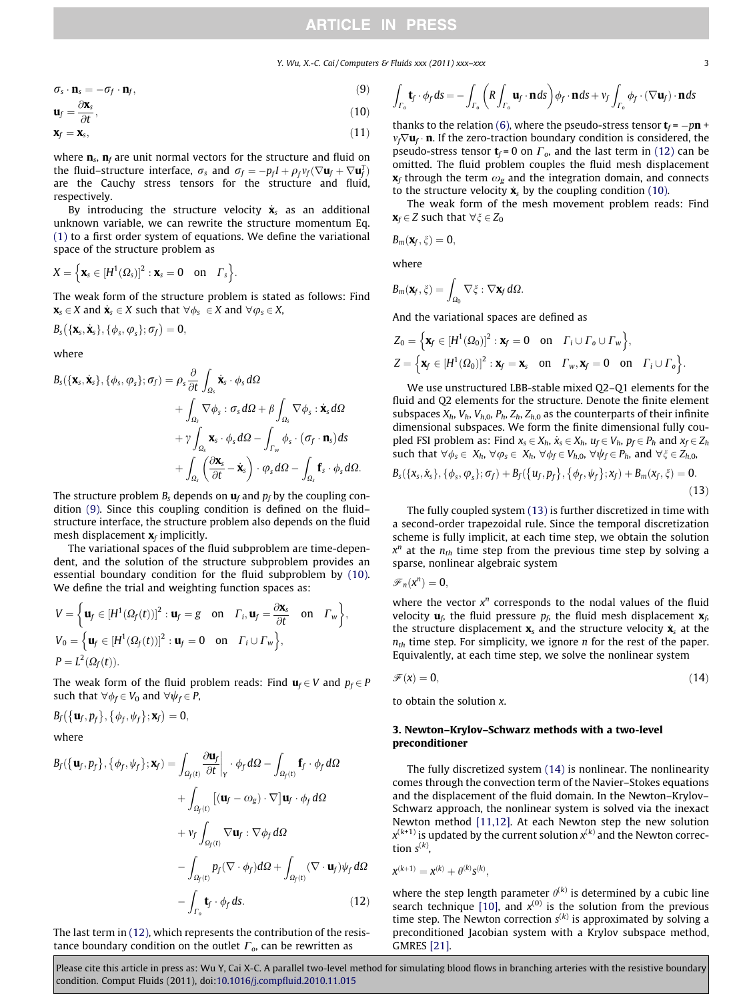Y. Wu, X.-C. Cai / Computers & Fluids xxx (2011) xxx–xxx 3

<span id="page-2-0"></span>
$$
\sigma_s \cdot \mathbf{n}_s = -\sigma_f \cdot \mathbf{n}_f,\tag{9}
$$

$$
\mathbf{u}_f = \frac{\partial \mathbf{x}_s}{\partial t},
$$

$$
\mathbf{u}_f = \frac{\partial \mathbf{u}_s}{\partial t},\tag{10}
$$
\n
$$
\mathbf{x}_f = \mathbf{x}_s,\tag{11}
$$

where  $\mathbf{n}_s$ ,  $\mathbf{n}_f$  are unit normal vectors for the structure and fluid on the fluid–structure interface,  $\sigma_s$  and  $\sigma_f = -p_f I + \rho_f v_f (\nabla \mathbf{u}_f + \nabla \mathbf{u}_f^T)$ are the Cauchy stress tensors for the structure and fluid, respectively.

By introducing the structure velocity  $\dot{x}_s$  as an additional unknown variable, we can rewrite the structure momentum Eq. [\(1\)](#page-1-0) to a first order system of equations. We define the variational space of the structure problem as

$$
X = \Big\{ \boldsymbol{x}_s \in [H^1(\Omega_s)]^2 : \boldsymbol{x}_s = 0 \quad \text{on} \quad \Gamma_s \Big\}.
$$

The weak form of the structure problem is stated as follows: Find  $\mathbf{x}_s \in X$  and  $\dot{\mathbf{x}}_s \in X$  such that  $\forall \phi_s \in X$  and  $\forall \phi_s \in X$ ,

$$
B_s(\{\mathbf{X}_s, \dot{\mathbf{X}}_s\}, \{\phi_s, \phi_s\}; \sigma_f) = 0,
$$

where

$$
B_{s}(\{\mathbf{x}_{s}, \dot{\mathbf{x}}_{s}\}, \{\phi_{s}, \varphi_{s}\}; \sigma_{f}) = \rho_{s} \frac{\partial}{\partial t} \int_{\Omega_{s}} \dot{\mathbf{x}}_{s} \cdot \phi_{s} d\Omega + \int_{\Omega_{s}} \nabla \phi_{s} : \sigma_{s} d\Omega + \beta \int_{\Omega_{s}} \nabla \phi_{s} : \dot{\mathbf{x}}_{s} d\Omega + \gamma \int_{\Omega_{s}} \mathbf{x}_{s} \cdot \phi_{s} d\Omega - \int_{\Gamma_{w}} \phi_{s} \cdot (\sigma_{f} \cdot \mathbf{n}_{s}) ds + \int_{\Omega_{s}} \left(\frac{\partial \mathbf{x}_{s}}{\partial t} - \dot{\mathbf{x}}_{s}\right) \cdot \varphi_{s} d\Omega - \int_{\Omega_{s}} \mathbf{f}_{s} \cdot \phi_{s} d\Omega.
$$

The structure problem  $B_s$  depends on  $\mathbf{u}_f$  and  $p_f$  by the coupling condition (9). Since this coupling condition is defined on the fluid– structure interface, the structure problem also depends on the fluid mesh displacement  $\mathbf{x}_f$  implicitly.

The variational spaces of the fluid subproblem are time-dependent, and the solution of the structure subproblem provides an essential boundary condition for the fluid subproblem by (10). We define the trial and weighting function spaces as:

$$
V = \left\{ \mathbf{u}_f \in [H^1(\Omega_f(t))]^2 : \mathbf{u}_f = g \quad \text{on} \quad \Gamma_i, \mathbf{u}_f = \frac{\partial \mathbf{x}_s}{\partial t} \quad \text{on} \quad \Gamma_w \right\},
$$
  
\n
$$
V_0 = \left\{ \mathbf{u}_f \in [H^1(\Omega_f(t))]^2 : \mathbf{u}_f = 0 \quad \text{on} \quad \Gamma_i \cup \Gamma_w \right\},
$$
  
\n
$$
P = L^2(\Omega_f(t)).
$$

The weak form of the fluid problem reads: Find  $\mathbf{u}_f \in V$  and  $p_f \in P$ such that  $\forall \phi_f \in V_0$  and  $\forall \psi_f \in P$ ,

$$
B_f\big(\big\{\mathbf{u}_f,p_f\big\},\big\{\phi_f,\psi_f\big\};\mathbf{x}_f\big)=0,
$$

where

$$
B_f(\{\mathbf{u}_f, p_f\}, \{\phi_f, \psi_f\}; \mathbf{x}_f) = \int_{\Omega_f(t)} \frac{\partial \mathbf{u}_f}{\partial t} \Big|_{\mathbf{v}} \cdot \phi_f d\Omega - \int_{\Omega_f(t)} \mathbf{f}_f \cdot \phi_f d\Omega + \int_{\Omega_f(t)} [(\mathbf{u}_f - \omega_g) \cdot \nabla] \mathbf{u}_f \cdot \phi_f d\Omega + \nu_f \int_{\Omega_f(t)} \nabla \mathbf{u}_f : \nabla \phi_f d\Omega - \int_{\Omega_f(t)} p_f (\nabla \cdot \phi_f) d\Omega + \int_{\Omega_f(t)} (\nabla \cdot \mathbf{u}_f) \psi_f d\Omega - \int_{\Gamma_o} \mathbf{t}_f \cdot \phi_f d\mathbf{s}.
$$
 (12)

The last term in (12), which represents the contribution of the resistance boundary condition on the outlet  $\Gamma_o$ , can be rewritten as

$$
\int_{\Gamma_o} \mathbf{t}_f \cdot \phi_f \, ds = - \int_{\Gamma_o} \left( R \int_{\Gamma_o} \mathbf{u}_f \cdot \mathbf{n} \, ds \right) \phi_f \cdot \mathbf{n} \, ds + v_f \int_{\Gamma_o} \phi_f \cdot (\nabla \mathbf{u}_f) \cdot \mathbf{n} \, ds
$$

thanks to the relation (6), where the pseudo-stress tensor  $t_f = -p\mathbf{n} + \mathbf{n}$  $v_f \nabla u_f \cdot \mathbf{n}$ . If the zero-traction boundary condition is considered, the pseudo-stress tensor  $t_f = 0$  on  $\Gamma_o$ , and the last term in (12) can be omitted. The fluid problem couples the fluid mesh displacement  $\mathbf{x}_f$  through the term  $\omega_g$  and the integration domain, and connects to the structure velocity  $\dot{\mathbf{x}}_s$  by the coupling condition (10).

The weak form of the mesh movement problem reads: Find  $\mathbf{x}_f \in Z$  such that  $\forall \xi \in Z_0$ 

$$
\textit{B}_{m}(\textbf{x}_f,\xi)=0,
$$

where

$$
B_m(\mathbf{x}_f,\xi)=\int_{\Omega_0}\nabla \xi:\nabla \mathbf{x}_f\,d\Omega.
$$

And the variational spaces are defined as

$$
Z_0 = \Big\{ \mathbf{x}_f \in [H^1(\Omega_0)]^2 : \mathbf{x}_f = 0 \quad \text{on} \quad \Gamma_i \cup \Gamma_o \cup \Gamma_w \Big\},
$$
  

$$
Z = \Big\{ \mathbf{x}_f \in [H^1(\Omega_0)]^2 : \mathbf{x}_f = \mathbf{x}_s \quad \text{on} \quad \Gamma_w, \mathbf{x}_f = 0 \quad \text{on} \quad \Gamma_i \cup \Gamma_o \Big\}.
$$

We use unstructured LBB-stable mixed Q2–Q1 elements for the fluid and Q2 elements for the structure. Denote the finite element subspaces  $X_h$ ,  $V_h$ ,  $V_{h,0}$ ,  $P_h$ ,  $Z_h$ ,  $Z_{h,0}$  as the counterparts of their infinite dimensional subspaces. We form the finite dimensional fully coupled FSI problem as: Find  $x_s \in X_h$ ,  $\dot{x}_s \in X_h$ ,  $u_f \in V_h$ ,  $p_f \in P_h$  and  $x_f \in Z_h$ such that  $\forall \phi_s \in X_h$ ,  $\forall \phi_s \in X_h$ ,  $\forall \phi_f \in V_{h,0}$ ,  $\forall \psi_f \in P_h$ , and  $\forall \xi \in Z_{h,0}$ ,

$$
B_{s}(\{x_{s},\dot{x}_{s}\},\{\phi_{s},\varphi_{s}\};\sigma_{f})+B_{f}(\{u_{f},p_{f}\},\{\phi_{f},\psi_{f}\};x_{f})+B_{m}(x_{f},\xi)=0.
$$
\n(13)

The fully coupled system (13) is further discretized in time with a second-order trapezoidal rule. Since the temporal discretization scheme is fully implicit, at each time step, we obtain the solution  $x^n$  at the  $n_{th}$  time step from the previous time step by solving a sparse, nonlinear algebraic system

 $\mathscr{F}_n(x^n) = 0,$ 

where the vector  $x^n$  corresponds to the nodal values of the fluid velocity  $\mathbf{u}_f$ , the fluid pressure  $p_f$ , the fluid mesh displacement  $\mathbf{x}_f$ , the structure displacement  $x_s$  and the structure velocity  $\dot{x}_s$  at the  $n_{th}$  time step. For simplicity, we ignore *n* for the rest of the paper. Equivalently, at each time step, we solve the nonlinear system

$$
\mathscr{F}(x) = 0,\tag{14}
$$

to obtain the solution x.

### 3. Newton–Krylov–Schwarz methods with a two-level preconditioner

The fully discretized system (14) is nonlinear. The nonlinearity comes through the convection term of the Navier–Stokes equations and the displacement of the fluid domain. In the Newton–Krylov– Schwarz approach, the nonlinear system is solved via the inexact Newton method [\[11,12\].](#page-10-0) At each Newton step the new solution  $x^{(k+1)}$  is updated by the current solution  $x^{(k)}$  and the Newton correction  $s^{(k)}$ ,

$$
x^{(k+1)} = x^{(k)} + \theta^{(k)} s^{(k)},
$$

where the step length parameter  $\theta^{(k)}$  is determined by a cubic line search technique [\[10\]](#page-10-0), and  $x^{(0)}$  is the solution from the previous time step. The Newton correction  $s^{(k)}$  is approximated by solving a preconditioned Jacobian system with a Krylov subspace method, GMRES [\[21\]](#page-10-0).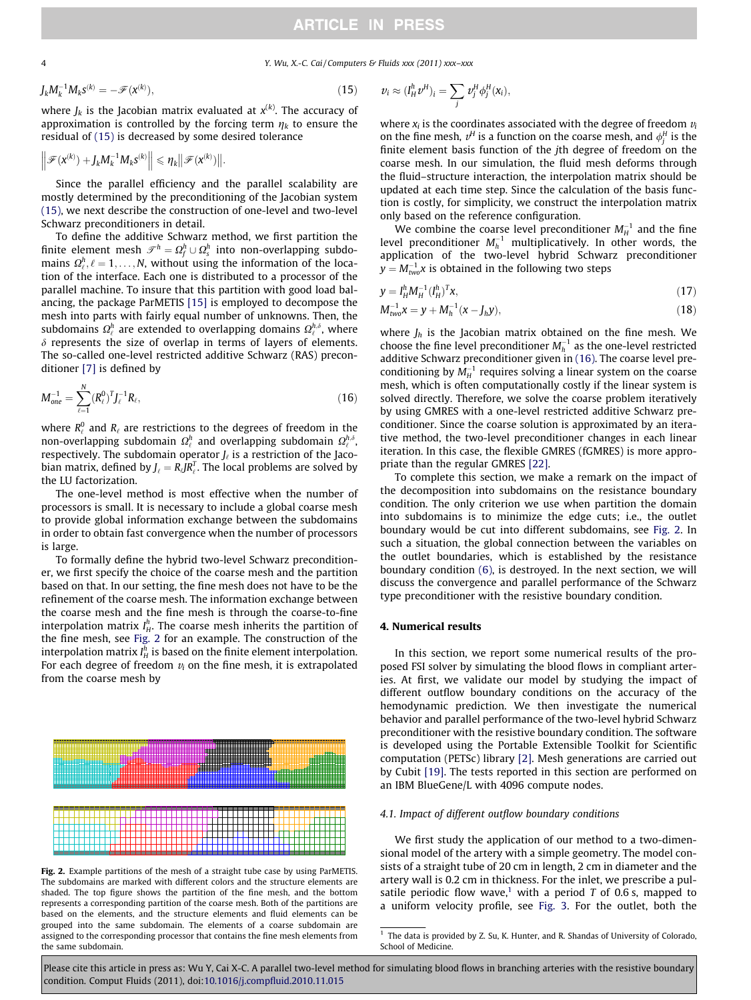<span id="page-3-0"></span>4 Y. Wu, X.-C. Cai / Computers & Fluids xxx (2011) xxx–xxx

$$
J_k M_k^{-1} M_k s^{(k)} = -\mathscr{F}(\mathbf{x}^{(k)}),\tag{15}
$$

where  $J_k$  is the Jacobian matrix evaluated at  $x^{(k)}.$  The accuracy of approximation is controlled by the forcing term  $\eta_k$  to ensure the residual of (15) is decreased by some desired tolerance

$$
\left\|\mathcal{F}(\mathbf{x}^{(k)})+J_kM_k^{-1}M_k\mathbf{s}^{(k)}\right\|\leq \eta_k\big\|\mathcal{F}(\mathbf{x}^{(k)})\big\|.
$$

Since the parallel efficiency and the parallel scalability are mostly determined by the preconditioning of the Jacobian system (15), we next describe the construction of one-level and two-level Schwarz preconditioners in detail.

To define the additive Schwarz method, we first partition the finite element mesh  $\mathscr{T}^h=\varOmega_f^h\cup\varOmega_s^h$  into non-overlapping subdomains  $\Omega_{\ell}^{h}, \ell = 1, \ldots, N$ , without using the information of the location of the interface. Each one is distributed to a processor of the parallel machine. To insure that this partition with good load balancing, the package ParMETIS [\[15\]](#page-10-0) is employed to decompose the mesh into parts with fairly equal number of unknowns. Then, the subdomains  $\mathbf{\Omega}_{\ell}^h$  are extended to overlapping domains  $\mathbf{\Omega}_{\ell}^{h,\delta}$ , where  $\delta$  represents the size of overlap in terms of layers of elements. The so-called one-level restricted additive Schwarz (RAS) preconditioner [\[7\]](#page-10-0) is defined by

$$
M_{one}^{-1} = \sum_{\ell=1}^{N} (R_{\ell}^{0})^{T} J_{\ell}^{-1} R_{\ell}, \qquad (16)
$$

where  $R_\ell^0$  and  $R_\ell$  are restrictions to the degrees of freedom in the non-overlapping subdomain  $\varOmega_{\ell}^{h}$  and overlapping subdomain  $\varOmega_{\ell}^{h,\delta}$  , respectively. The subdomain operator  $J_{\ell}$  is a restriction of the Jacobian matrix, defined by  $J_{\ell} = R_{\ell} J R_{\ell}^T.$  The local problems are solved by the LU factorization.

The one-level method is most effective when the number of processors is small. It is necessary to include a global coarse mesh to provide global information exchange between the subdomains in order to obtain fast convergence when the number of processors is large.

To formally define the hybrid two-level Schwarz preconditioner, we first specify the choice of the coarse mesh and the partition based on that. In our setting, the fine mesh does not have to be the refinement of the coarse mesh. The information exchange between the coarse mesh and the fine mesh is through the coarse-to-fine interpolation matrix  $I^h_H$ . The coarse mesh inherits the partition of the fine mesh, see Fig. 2 for an example. The construction of the interpolation matrix  $I_{H}^{h}$  is based on the finite element interpolation. For each degree of freedom  $v_i$  on the fine mesh, it is extrapolated from the coarse mesh by



Fig. 2. Example partitions of the mesh of a straight tube case by using ParMETIS. The subdomains are marked with different colors and the structure elements are shaded. The top figure shows the partition of the fine mesh, and the bottom represents a corresponding partition of the coarse mesh. Both of the partitions are based on the elements, and the structure elements and fluid elements can be grouped into the same subdomain. The elements of a coarse subdomain are assigned to the corresponding processor that contains the fine mesh elements from the same subdomain.

$$
v_i \approx (I_H^h v^H)_i = \sum_j v_j^H \phi_j^H(x_i),
$$

where  $x_i$  is the coordinates associated with the degree of freedom  $v_i$ on the fine mesh,  $v^H$  is a function on the coarse mesh, and  $\phi_j^H$  is the finite element basis function of the jth degree of freedom on the coarse mesh. In our simulation, the fluid mesh deforms through the fluid–structure interaction, the interpolation matrix should be updated at each time step. Since the calculation of the basis function is costly, for simplicity, we construct the interpolation matrix only based on the reference configuration.

We combine the coarse level preconditioner  $M_H^{-1}$  and the fine level preconditioner  $M_h^{-1}$  multiplicatively. In other words, the application of the two-level hybrid Schwarz preconditioner  $y = M_{\text{two}}^{-1} x$  is obtained in the following two steps

$$
y = I_H^h M_H^{-1} (I_H^h)^T x, \qquad (17)
$$

$$
M_{two}^{-1}x = y + M_h^{-1}(x - J_hy),
$$
\n(18)

where  $J_h$  is the Jacobian matrix obtained on the fine mesh. We choose the fine level preconditioner  $M_h^{-1}$  as the one-level restricted additive Schwarz preconditioner given in (16). The coarse level preconditioning by  $M_H^{-1}$  requires solving a linear system on the coarse mesh, which is often computationally costly if the linear system is solved directly. Therefore, we solve the coarse problem iteratively by using GMRES with a one-level restricted additive Schwarz preconditioner. Since the coarse solution is approximated by an iterative method, the two-level preconditioner changes in each linear iteration. In this case, the flexible GMRES (fGMRES) is more appropriate than the regular GMRES [\[22\].](#page-10-0)

To complete this section, we make a remark on the impact of the decomposition into subdomains on the resistance boundary condition. The only criterion we use when partition the domain into subdomains is to minimize the edge cuts; i.e., the outlet boundary would be cut into different subdomains, see Fig. 2. In such a situation, the global connection between the variables on the outlet boundaries, which is established by the resistance boundary condition (6), is destroyed. In the next section, we will discuss the convergence and parallel performance of the Schwarz type preconditioner with the resistive boundary condition.

### 4. Numerical results

In this section, we report some numerical results of the proposed FSI solver by simulating the blood flows in compliant arteries. At first, we validate our model by studying the impact of different outflow boundary conditions on the accuracy of the hemodynamic prediction. We then investigate the numerical behavior and parallel performance of the two-level hybrid Schwarz preconditioner with the resistive boundary condition. The software is developed using the Portable Extensible Toolkit for Scientific computation (PETSc) library [\[2\].](#page-10-0) Mesh generations are carried out by Cubit [\[19\]](#page-10-0). The tests reported in this section are performed on an IBM BlueGene/L with 4096 compute nodes.

### 4.1. Impact of different outflow boundary conditions

We first study the application of our method to a two-dimensional model of the artery with a simple geometry. The model consists of a straight tube of 20 cm in length, 2 cm in diameter and the artery wall is 0.2 cm in thickness. For the inlet, we prescribe a pulsatile periodic flow wave,<sup>1</sup> with a period T of 0.6 s, mapped to a uniform velocity profile, see [Fig. 3.](#page-4-0) For the outlet, both the

 $1$  The data is provided by Z. Su, K. Hunter, and R. Shandas of University of Colorado, School of Medicine.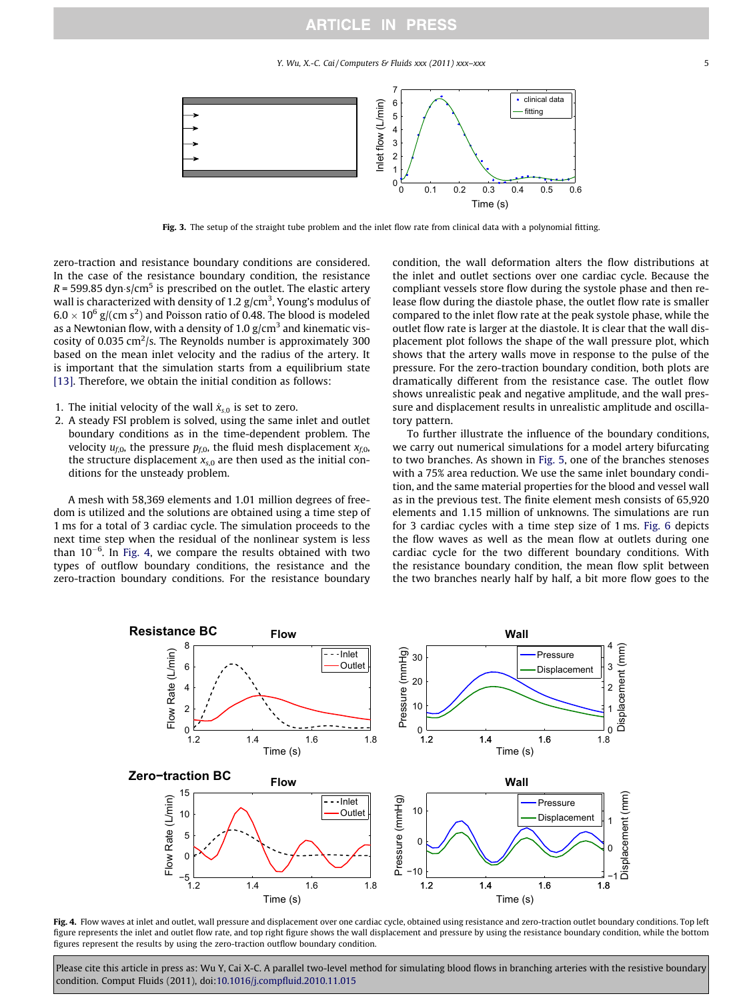Y. Wu, X.-C. Cai / Computers & Fluids xxx (2011) xxx–xxx  $\frac{1}{2}$  5

<span id="page-4-0"></span>

Fig. 3. The setup of the straight tube problem and the inlet flow rate from clinical data with a polynomial fitting.

zero-traction and resistance boundary conditions are considered. In the case of the resistance boundary condition, the resistance  $R = 599.85$  dyn $\cdot$ s/cm $^5$  is prescribed on the outlet. The elastic artery wall is characterized with density of 1.2  $\rm g/cm^3$ , Young's modulus of  $6.0 \times 10^6$  g/(cm s<sup>2</sup>) and Poisson ratio of 0.48. The blood is modeled as a Newtonian flow, with a density of 1.0  $\rm g/cm^3$  and kinematic viscosity of 0.035 cm<sup>2</sup>/s. The Reynolds number is approximately 300 based on the mean inlet velocity and the radius of the artery. It is important that the simulation starts from a equilibrium state [\[13\].](#page-10-0) Therefore, we obtain the initial condition as follows:

- 1. The initial velocity of the wall  $\dot{x}_{s,0}$  is set to zero.
- 2. A steady FSI problem is solved, using the same inlet and outlet boundary conditions as in the time-dependent problem. The velocity  $u_{f,0}$ , the pressure  $p_{f,0}$ , the fluid mesh displacement  $x_{f,0}$ , the structure displacement  $x_{s,0}$  are then used as the initial conditions for the unsteady problem.

A mesh with 58,369 elements and 1.01 million degrees of freedom is utilized and the solutions are obtained using a time step of 1 ms for a total of 3 cardiac cycle. The simulation proceeds to the next time step when the residual of the nonlinear system is less than  $10^{-6}$ . In Fig. 4, we compare the results obtained with two types of outflow boundary conditions, the resistance and the zero-traction boundary conditions. For the resistance boundary condition, the wall deformation alters the flow distributions at the inlet and outlet sections over one cardiac cycle. Because the compliant vessels store flow during the systole phase and then release flow during the diastole phase, the outlet flow rate is smaller compared to the inlet flow rate at the peak systole phase, while the outlet flow rate is larger at the diastole. It is clear that the wall displacement plot follows the shape of the wall pressure plot, which shows that the artery walls move in response to the pulse of the pressure. For the zero-traction boundary condition, both plots are dramatically different from the resistance case. The outlet flow shows unrealistic peak and negative amplitude, and the wall pressure and displacement results in unrealistic amplitude and oscillatory pattern.

To further illustrate the influence of the boundary conditions, we carry out numerical simulations for a model artery bifurcating to two branches. As shown in [Fig. 5,](#page-5-0) one of the branches stenoses with a 75% area reduction. We use the same inlet boundary condition, and the same material properties for the blood and vessel wall as in the previous test. The finite element mesh consists of 65,920 elements and 1.15 million of unknowns. The simulations are run for 3 cardiac cycles with a time step size of 1 ms. [Fig. 6](#page-5-0) depicts the flow waves as well as the mean flow at outlets during one cardiac cycle for the two different boundary conditions. With the resistance boundary condition, the mean flow split between the two branches nearly half by half, a bit more flow goes to the



Fig. 4. Flow waves at inlet and outlet, wall pressure and displacement over one cardiac cycle, obtained using resistance and zero-traction outlet boundary conditions. Top left figure represents the inlet and outlet flow rate, and top right figure shows the wall displacement and pressure by using the resistance boundary condition, while the bottom figures represent the results by using the zero-traction outflow boundary condition.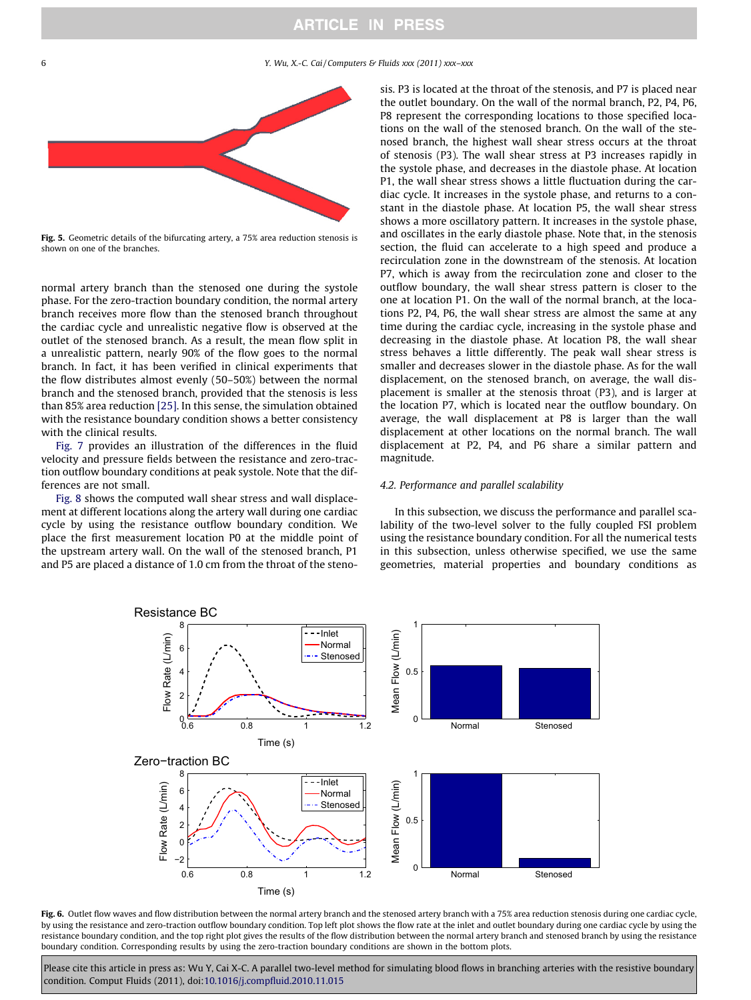<span id="page-5-0"></span>6 Y. Wu, X.-C. Cai / Computers & Fluids xxx (2011) xxx–xxx



Fig. 5. Geometric details of the bifurcating artery, a 75% area reduction stenosis is shown on one of the branches.

normal artery branch than the stenosed one during the systole phase. For the zero-traction boundary condition, the normal artery branch receives more flow than the stenosed branch throughout the cardiac cycle and unrealistic negative flow is observed at the outlet of the stenosed branch. As a result, the mean flow split in a unrealistic pattern, nearly 90% of the flow goes to the normal branch. In fact, it has been verified in clinical experiments that the flow distributes almost evenly (50–50%) between the normal branch and the stenosed branch, provided that the stenosis is less than 85% area reduction [\[25\]](#page-10-0). In this sense, the simulation obtained with the resistance boundary condition shows a better consistency with the clinical results.

[Fig. 7](#page-6-0) provides an illustration of the differences in the fluid velocity and pressure fields between the resistance and zero-traction outflow boundary conditions at peak systole. Note that the differences are not small.

[Fig. 8](#page-7-0) shows the computed wall shear stress and wall displacement at different locations along the artery wall during one cardiac cycle by using the resistance outflow boundary condition. We place the first measurement location P0 at the middle point of the upstream artery wall. On the wall of the stenosed branch, P1 and P5 are placed a distance of 1.0 cm from the throat of the stenosis. P3 is located at the throat of the stenosis, and P7 is placed near the outlet boundary. On the wall of the normal branch, P2, P4, P6, P8 represent the corresponding locations to those specified locations on the wall of the stenosed branch. On the wall of the stenosed branch, the highest wall shear stress occurs at the throat of stenosis (P3). The wall shear stress at P3 increases rapidly in the systole phase, and decreases in the diastole phase. At location P1, the wall shear stress shows a little fluctuation during the cardiac cycle. It increases in the systole phase, and returns to a constant in the diastole phase. At location P5, the wall shear stress shows a more oscillatory pattern. It increases in the systole phase, and oscillates in the early diastole phase. Note that, in the stenosis section, the fluid can accelerate to a high speed and produce a recirculation zone in the downstream of the stenosis. At location P7, which is away from the recirculation zone and closer to the outflow boundary, the wall shear stress pattern is closer to the one at location P1. On the wall of the normal branch, at the locations P2, P4, P6, the wall shear stress are almost the same at any time during the cardiac cycle, increasing in the systole phase and decreasing in the diastole phase. At location P8, the wall shear stress behaves a little differently. The peak wall shear stress is smaller and decreases slower in the diastole phase. As for the wall displacement, on the stenosed branch, on average, the wall displacement is smaller at the stenosis throat (P3), and is larger at the location P7, which is located near the outflow boundary. On average, the wall displacement at P8 is larger than the wall displacement at other locations on the normal branch. The wall displacement at P2, P4, and P6 share a similar pattern and magnitude.

#### 4.2. Performance and parallel scalability

In this subsection, we discuss the performance and parallel scalability of the two-level solver to the fully coupled FSI problem using the resistance boundary condition. For all the numerical tests in this subsection, unless otherwise specified, we use the same geometries, material properties and boundary conditions as



Fig. 6. Outlet flow waves and flow distribution between the normal artery branch and the stenosed artery branch with a 75% area reduction stenosis during one cardiac cycle, by using the resistance and zero-traction outflow boundary condition. Top left plot shows the flow rate at the inlet and outlet boundary during one cardiac cycle by using the resistance boundary condition, and the top right plot gives the results of the flow distribution between the normal artery branch and stenosed branch by using the resistance boundary condition. Corresponding results by using the zero-traction boundary conditions are shown in the bottom plots.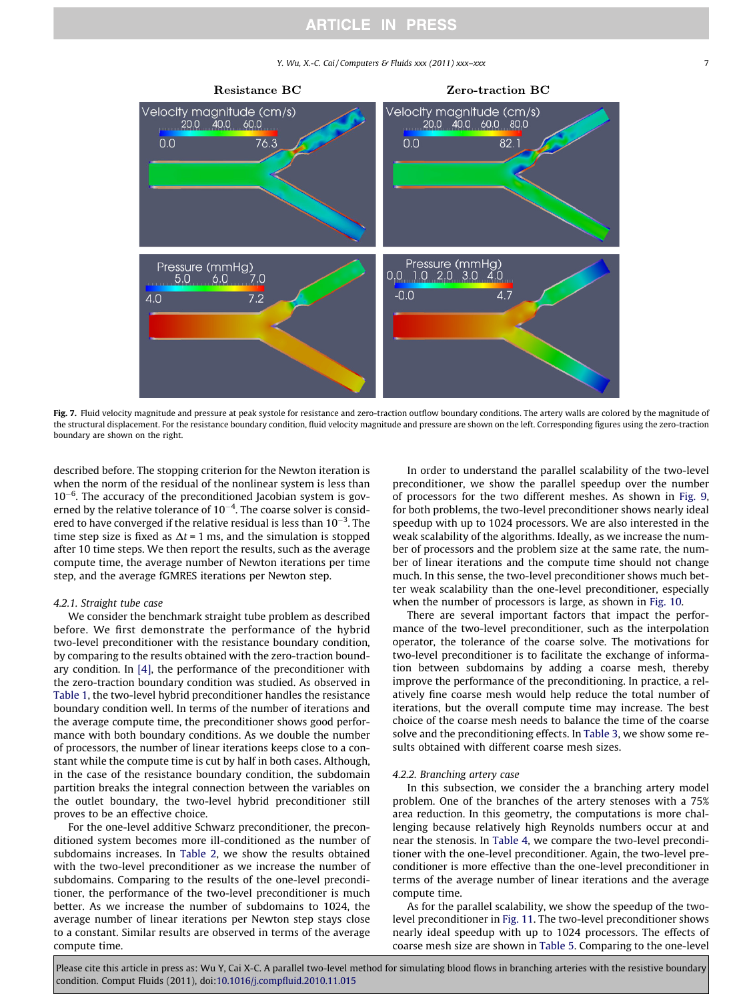Y. Wu, X.-C. Cai/Computers & Fluids xxx (2011) xxx–xxx 7 7

<span id="page-6-0"></span>

Fig. 7. Fluid velocity magnitude and pressure at peak systole for resistance and zero-traction outflow boundary conditions. The artery walls are colored by the magnitude of the structural displacement. For the resistance boundary condition, fluid velocity magnitude and pressure are shown on the left. Corresponding figures using the zero-traction boundary are shown on the right.

described before. The stopping criterion for the Newton iteration is when the norm of the residual of the nonlinear system is less than  $10^{-6}$ . The accuracy of the preconditioned Jacobian system is governed by the relative tolerance of  $10^{-4}$ . The coarse solver is considered to have converged if the relative residual is less than 10<sup>-3</sup>. The time step size is fixed as  $\Delta t = 1$  ms, and the simulation is stopped after 10 time steps. We then report the results, such as the average compute time, the average number of Newton iterations per time step, and the average fGMRES iterations per Newton step.

#### 4.2.1. Straight tube case

We consider the benchmark straight tube problem as described before. We first demonstrate the performance of the hybrid two-level preconditioner with the resistance boundary condition, by comparing to the results obtained with the zero-traction boundary condition. In [\[4\],](#page-10-0) the performance of the preconditioner with the zero-traction boundary condition was studied. As observed in [Table 1,](#page-7-0) the two-level hybrid preconditioner handles the resistance boundary condition well. In terms of the number of iterations and the average compute time, the preconditioner shows good performance with both boundary conditions. As we double the number of processors, the number of linear iterations keeps close to a constant while the compute time is cut by half in both cases. Although, in the case of the resistance boundary condition, the subdomain partition breaks the integral connection between the variables on the outlet boundary, the two-level hybrid preconditioner still proves to be an effective choice.

For the one-level additive Schwarz preconditioner, the preconditioned system becomes more ill-conditioned as the number of subdomains increases. In [Table 2,](#page-7-0) we show the results obtained with the two-level preconditioner as we increase the number of subdomains. Comparing to the results of the one-level preconditioner, the performance of the two-level preconditioner is much better. As we increase the number of subdomains to 1024, the average number of linear iterations per Newton step stays close to a constant. Similar results are observed in terms of the average compute time.

In order to understand the parallel scalability of the two-level preconditioner, we show the parallel speedup over the number of processors for the two different meshes. As shown in [Fig. 9,](#page-8-0) for both problems, the two-level preconditioner shows nearly ideal speedup with up to 1024 processors. We are also interested in the weak scalability of the algorithms. Ideally, as we increase the number of processors and the problem size at the same rate, the number of linear iterations and the compute time should not change much. In this sense, the two-level preconditioner shows much better weak scalability than the one-level preconditioner, especially when the number of processors is large, as shown in [Fig. 10.](#page-8-0)

There are several important factors that impact the performance of the two-level preconditioner, such as the interpolation operator, the tolerance of the coarse solve. The motivations for two-level preconditioner is to facilitate the exchange of information between subdomains by adding a coarse mesh, thereby improve the performance of the preconditioning. In practice, a relatively fine coarse mesh would help reduce the total number of iterations, but the overall compute time may increase. The best choice of the coarse mesh needs to balance the time of the coarse solve and the preconditioning effects. In [Table 3](#page-8-0), we show some results obtained with different coarse mesh sizes.

#### 4.2.2. Branching artery case

In this subsection, we consider the a branching artery model problem. One of the branches of the artery stenoses with a 75% area reduction. In this geometry, the computations is more challenging because relatively high Reynolds numbers occur at and near the stenosis. In [Table 4,](#page-8-0) we compare the two-level preconditioner with the one-level preconditioner. Again, the two-level preconditioner is more effective than the one-level preconditioner in terms of the average number of linear iterations and the average compute time.

As for the parallel scalability, we show the speedup of the twolevel preconditioner in [Fig. 11](#page-9-0). The two-level preconditioner shows nearly ideal speedup with up to 1024 processors. The effects of coarse mesh size are shown in [Table 5](#page-9-0). Comparing to the one-level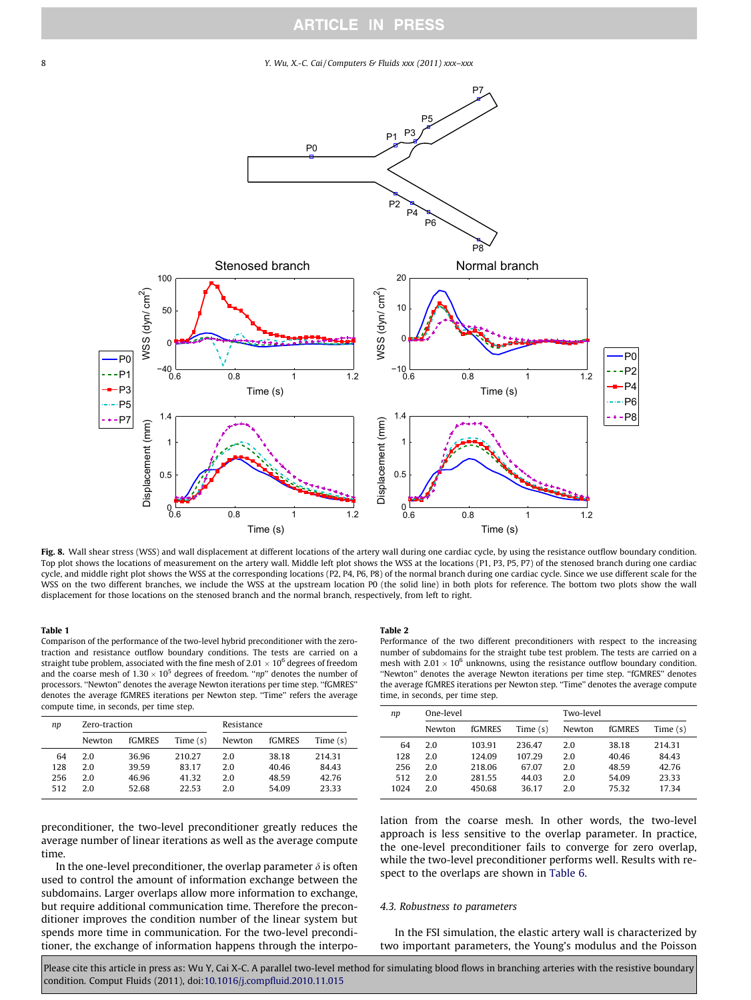#### <span id="page-7-0"></span>8 Y. Wu, X.-C. Cai / Computers & Fluids xxx (2011) xxx–xxx



Fig. 8. Wall shear stress (WSS) and wall displacement at different locations of the artery wall during one cardiac cycle, by using the resistance outflow boundary condition. Top plot shows the locations of measurement on the artery wall. Middle left plot shows the WSS at the locations (P1, P3, P5, P7) of the stenosed branch during one cardiac cycle, and middle right plot shows the WSS at the corresponding locations (P2, P4, P6, P8) of the normal branch during one cardiac cycle. Since we use different scale for the WSS on the two different branches, we include the WSS at the upstream location P0 (the solid line) in both plots for reference. The bottom two plots show the wall displacement for those locations on the stenosed branch and the normal branch, respectively, from left to right.

### Table 1

Comparison of the performance of the two-level hybrid preconditioner with the zerotraction and resistance outflow boundary conditions. The tests are carried on a straight tube problem, associated with the fine mesh of 2.01  $\times$  10<sup>6</sup> degrees of freedom and the coarse mesh of  $1.30 \times 10^5$  degrees of freedom. "np" denotes the number of processors. ''Newton'' denotes the average Newton iterations per time step. ''fGMRES'' denotes the average fGMRES iterations per Newton step. "Time" refers the average compute time, in seconds, per time step.

| Zero-traction |        |            | Resistance |        |            |
|---------------|--------|------------|------------|--------|------------|
| Newton        | fGMRES | Time $(s)$ | Newton     | fGMRES | Time $(s)$ |
| 20            | 36.96  | 210.27     | 2.0        | 38.18  | 214.31     |
| 2.0           | 39.59  | 83.17      | 2.0        | 40.46  | 84.43      |
| 2.0           | 46.96  | 41.32      | 2.0        | 48.59  | 42.76      |
| 20            | 52.68  | 22.53      | 2.0        | 54.09  | 23.33      |
|               |        |            |            |        |            |

preconditioner, the two-level preconditioner greatly reduces the average number of linear iterations as well as the average compute time.

In the one-level preconditioner, the overlap parameter  $\delta$  is often used to control the amount of information exchange between the subdomains. Larger overlaps allow more information to exchange, but require additional communication time. Therefore the preconditioner improves the condition number of the linear system but spends more time in communication. For the two-level preconditioner, the exchange of information happens through the interpo-

#### Table 2

Performance of the two different preconditioners with respect to the increasing number of subdomains for the straight tube test problem. The tests are carried on a mesh with  $2.01 \times 10^6$  unknowns, using the resistance outflow boundary condition. ''Newton'' denotes the average Newton iterations per time step. ''fGMRES'' denotes the average fGMRES iterations per Newton step. ''Time'' denotes the average compute time, in seconds, per time step.

| np   | One-level |        |            | Two-level |        |            |
|------|-----------|--------|------------|-----------|--------|------------|
|      | Newton    | fGMRES | Time $(s)$ | Newton    | fGMRES | Time $(s)$ |
| 64   | 2.0       | 103.91 | 236.47     | 2.0       | 38.18  | 214.31     |
| 128  | 2.0       | 124.09 | 107.29     | 2.0       | 40.46  | 84.43      |
| 256  | 2.0       | 218.06 | 67.07      | 2.0       | 48.59  | 42.76      |
| 512  | 2.0       | 281.55 | 44.03      | 2.0       | 54.09  | 23.33      |
| 1024 | 2.0       | 450.68 | 36.17      | 2.0       | 75.32  | 17.34      |

lation from the coarse mesh. In other words, the two-level approach is less sensitive to the overlap parameter. In practice, the one-level preconditioner fails to converge for zero overlap, while the two-level preconditioner performs well. Results with respect to the overlaps are shown in [Table 6.](#page-9-0)

#### 4.3. Robustness to parameters

In the FSI simulation, the elastic artery wall is characterized by two important parameters, the Young's modulus and the Poisson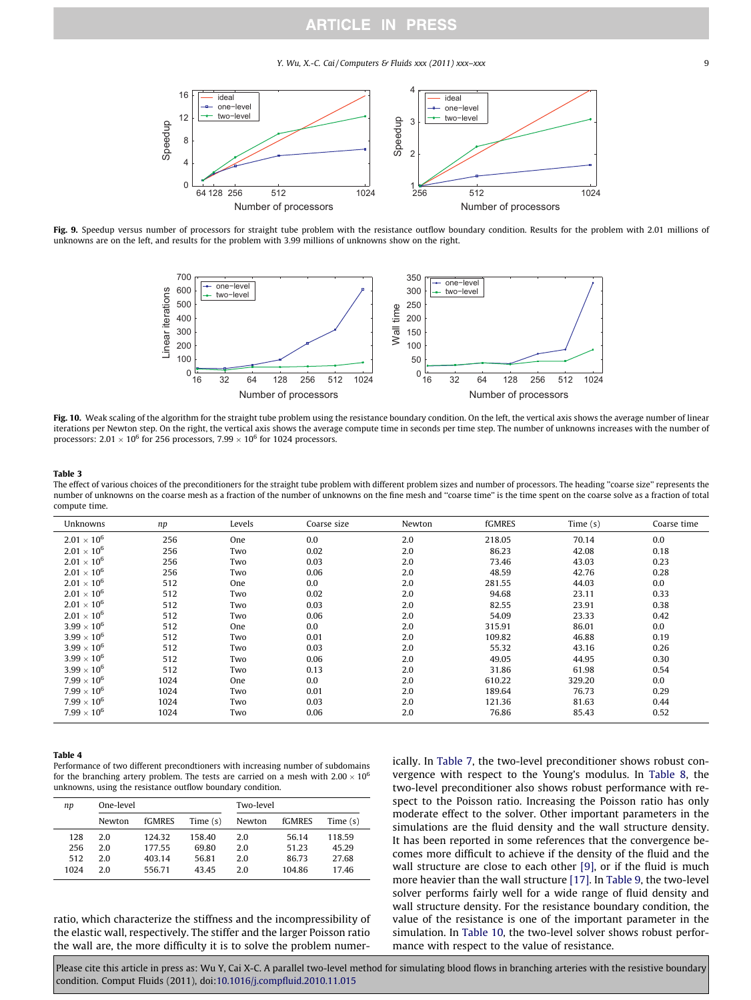Y. Wu, X.-C. Cai / Computers & Fluids xxx (2011) xxx–xxx  $\qquad \qquad$ 9

<span id="page-8-0"></span>

Fig. 9. Speedup versus number of processors for straight tube problem with the resistance outflow boundary condition. Results for the problem with 2.01 millions of unknowns are on the left, and results for the problem with 3.99 millions of unknowns show on the right.



Fig. 10. Weak scaling of the algorithm for the straight tube problem using the resistance boundary condition. On the left, the vertical axis shows the average number of linear iterations per Newton step. On the right, the vertical axis shows the average compute time in seconds per time step. The number of unknowns increases with the number of processors:  $2.01 \times 10^6$  for 256 processors,  $7.99 \times 10^6$  for 1024 processors.

#### Table 3

The effect of various choices of the preconditioners for the straight tube problem with different problem sizes and number of processors. The heading ''coarse size'' represents the number of unknowns on the coarse mesh as a fraction of the number of unknowns on the fine mesh and ''coarse time'' is the time spent on the coarse solve as a fraction of total compute time.

| Unknowns             | np   | Levels | Coarse size | Newton | fGMRES | Time $(s)$ | Coarse time |
|----------------------|------|--------|-------------|--------|--------|------------|-------------|
| $2.01\times10^6$     | 256  | One    | 0.0         | 2.0    | 218.05 | 70.14      | 0.0         |
| $2.01 \times 10^6$   | 256  | Two    | 0.02        | 2.0    | 86.23  | 42.08      | 0.18        |
| $2.01 \times 10^6$   | 256  | Two    | 0.03        | 2.0    | 73.46  | 43.03      | 0.23        |
| $2.01 \times 10^{6}$ | 256  | Two    | 0.06        | 2.0    | 48.59  | 42.76      | 0.28        |
| $2.01 \times 10^{6}$ | 512  | One    | 0.0         | 2.0    | 281.55 | 44.03      | 0.0         |
| $2.01 \times 10^{6}$ | 512  | Two    | 0.02        | 2.0    | 94.68  | 23.11      | 0.33        |
| $2.01 \times 10^{6}$ | 512  | Two    | 0.03        | 2.0    | 82.55  | 23.91      | 0.38        |
| $2.01 \times 10^{6}$ | 512  | Two    | 0.06        | 2.0    | 54.09  | 23.33      | 0.42        |
| $3.99 \times 10^{6}$ | 512  | One    | 0.0         | 2.0    | 315.91 | 86.01      | 0.0         |
| $3.99 \times 10^{6}$ | 512  | Two    | 0.01        | 2.0    | 109.82 | 46.88      | 0.19        |
| $3.99 \times 10^{6}$ | 512  | Two    | 0.03        | 2.0    | 55.32  | 43.16      | 0.26        |
| $3.99 \times 10^{6}$ | 512  | Two    | 0.06        | 2.0    | 49.05  | 44.95      | 0.30        |
| $3.99 \times 10^{6}$ | 512  | Two    | 0.13        | 2.0    | 31.86  | 61.98      | 0.54        |
| $7.99 \times 10^{6}$ | 1024 | One    | 0.0         | 2.0    | 610.22 | 329.20     | 0.0         |
| $7.99 \times 10^{6}$ | 1024 | Two    | 0.01        | 2.0    | 189.64 | 76.73      | 0.29        |
| $7.99 \times 10^{6}$ | 1024 | Two    | 0.03        | 2.0    | 121.36 | 81.63      | 0.44        |
| $7.99 \times 10^{6}$ | 1024 | Two    | 0.06        | 2.0    | 76.86  | 85.43      | 0.52        |

#### Table 4

Performance of two different precondtioners with increasing number of subdomains for the branching artery problem. The tests are carried on a mesh with  $2.00 \times 10^6$ unknowns, using the resistance outflow boundary condition.

| np   | One-level |        |          | Two-level |        |            |
|------|-----------|--------|----------|-----------|--------|------------|
|      | Newton    | fGMRES | Time (s) | Newton    | fGMRES | Time $(s)$ |
| 128  | 2.0       | 124.32 | 158.40   | 2.0       | 56.14  | 118.59     |
| 256  | 2.0       | 177.55 | 69.80    | 2.0       | 51.23  | 45.29      |
| 512  | 2.0       | 403.14 | 56.81    | 2.0       | 86.73  | 27.68      |
| 1024 | 2.0       | 556.71 | 43.45    | 2.0       | 104.86 | 17.46      |

ratio, which characterize the stiffness and the incompressibility of the elastic wall, respectively. The stiffer and the larger Poisson ratio the wall are, the more difficulty it is to solve the problem numerically. In [Table 7,](#page-9-0) the two-level preconditioner shows robust convergence with respect to the Young's modulus. In [Table 8](#page-9-0), the two-level preconditioner also shows robust performance with respect to the Poisson ratio. Increasing the Poisson ratio has only moderate effect to the solver. Other important parameters in the simulations are the fluid density and the wall structure density. It has been reported in some references that the convergence becomes more difficult to achieve if the density of the fluid and the wall structure are close to each other [\[9\]](#page-10-0), or if the fluid is much more heavier than the wall structure [\[17\]](#page-10-0). In [Table 9](#page-9-0), the two-level solver performs fairly well for a wide range of fluid density and wall structure density. For the resistance boundary condition, the value of the resistance is one of the important parameter in the simulation. In [Table 10](#page-10-0), the two-level solver shows robust performance with respect to the value of resistance.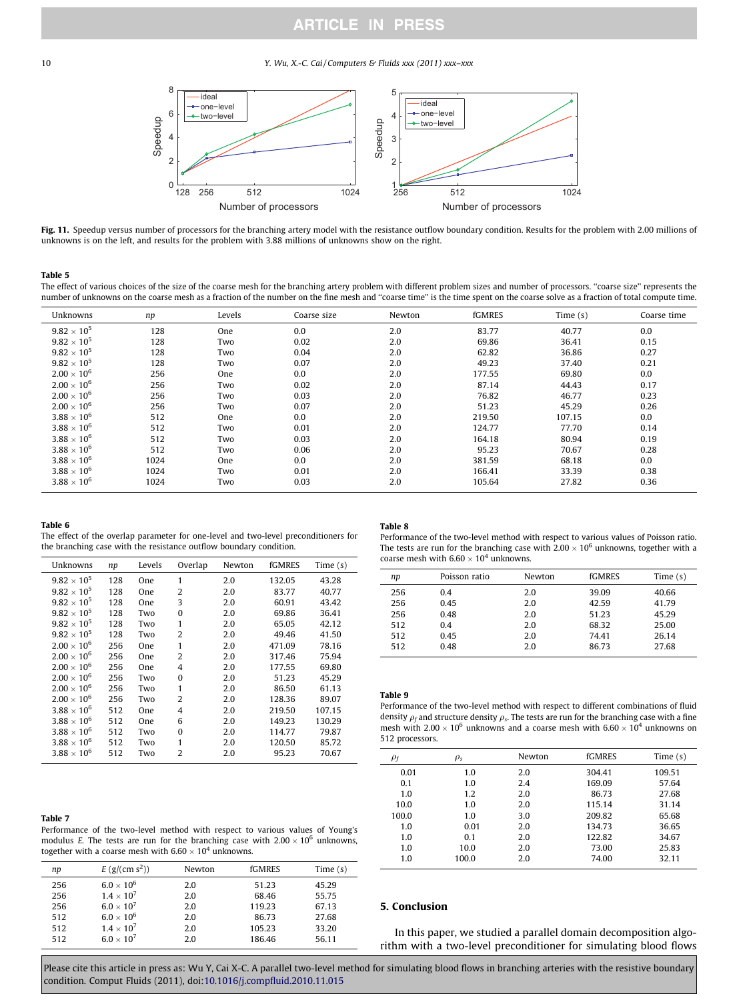<span id="page-9-0"></span>10 Y. Wu, X.-C. Cai / Computers & Fluids xxx (2011) xxx–xxx



Fig. 11. Speedup versus number of processors for the branching artery model with the resistance outflow boundary condition. Results for the problem with 2.00 millions of unknowns is on the left, and results for the problem with 3.88 millions of unknowns show on the right.

#### Table 5

The effect of various choices of the size of the coarse mesh for the branching artery problem with different problem sizes and number of processors. "coarse size" represents the number of unknowns on the coarse mesh as a fraction of the number on the fine mesh and ''coarse time'' is the time spent on the coarse solve as a fraction of total compute time.

| Unknowns             | np   | Levels | Coarse size | Newton | fGMRES | Time $(s)$ | Coarse time |
|----------------------|------|--------|-------------|--------|--------|------------|-------------|
| $9.82 \times 10^{5}$ | 128  | One    | 0.0         | 2.0    | 83.77  | 40.77      | 0.0         |
| $9.82 \times 10^{5}$ | 128  | Two    | 0.02        | 2.0    | 69.86  | 36.41      | 0.15        |
| $9.82 \times 10^{5}$ | 128  | Two    | 0.04        | 2.0    | 62.82  | 36.86      | 0.27        |
| $9.82 \times 10^{5}$ | 128  | Two    | 0.07        | 2.0    | 49.23  | 37.40      | 0.21        |
| $2.00 \times 10^{6}$ | 256  | One    | 0.0         | 2.0    | 177.55 | 69.80      | 0.0         |
| $2.00 \times 10^{6}$ | 256  | Two    | 0.02        | 2.0    | 87.14  | 44.43      | 0.17        |
| $2.00 \times 10^{6}$ | 256  | Two    | 0.03        | 2.0    | 76.82  | 46.77      | 0.23        |
| $2.00 \times 10^{6}$ | 256  | Two    | 0.07        | 2.0    | 51.23  | 45.29      | 0.26        |
| $3.88 \times 10^{6}$ | 512  | One    | 0.0         | 2.0    | 219.50 | 107.15     | 0.0         |
| $3.88 \times 10^{6}$ | 512  | Two    | 0.01        | 2.0    | 124.77 | 77.70      | 0.14        |
| $3.88 \times 10^{6}$ | 512  | Two    | 0.03        | 2.0    | 164.18 | 80.94      | 0.19        |
| $3.88 \times 10^{6}$ | 512  | Two    | 0.06        | 2.0    | 95.23  | 70.67      | 0.28        |
| $3.88 \times 10^{6}$ | 1024 | One    | 0.0         | 2.0    | 381.59 | 68.18      | 0.0         |
| $3.88 \times 10^{6}$ | 1024 | Two    | 0.01        | 2.0    | 166.41 | 33.39      | 0.38        |
| $3.88 \times 10^6$   | 1024 | Two    | 0.03        | 2.0    | 105.64 | 27.82      | 0.36        |

#### Table 6

The effect of the overlap parameter for one-level and two-level preconditioners for the branching case with the resistance outflow boundary condition.

| Unknowns             | np  | Levels | Overlap  | Newton | fGMRES | Time $(s)$ |
|----------------------|-----|--------|----------|--------|--------|------------|
| $9.82 \times 10^{5}$ | 128 | One    | 1        | 2.0    | 132.05 | 43.28      |
| $9.82 \times 10^{5}$ | 128 | One    | 2        | 2.0    | 83.77  | 40.77      |
| $9.82 \times 10^{5}$ | 128 | One    | 3        | 2.0    | 60.91  | 43.42      |
| $9.82 \times 10^{5}$ | 128 | Two    | $\Omega$ | 2.0    | 69.86  | 36.41      |
| $9.82 \times 10^{5}$ | 128 | Two    | 1        | 2.0    | 65.05  | 42.12      |
| $9.82 \times 10^{5}$ | 128 | Two    | 2        | 2.0    | 49.46  | 41.50      |
| $2.00 \times 10^{6}$ | 256 | One    | 1        | 2.0    | 471.09 | 78.16      |
| $2.00 \times 10^{6}$ | 256 | One    | 2        | 2.0    | 317.46 | 75.94      |
| $2.00 \times 10^{6}$ | 256 | One    | 4        | 2.0    | 177.55 | 69.80      |
| $2.00 \times 10^{6}$ | 256 | Two    | $\Omega$ | 2.0    | 51.23  | 45.29      |
| $2.00 \times 10^{6}$ | 256 | Two    | 1        | 2.0    | 86.50  | 61.13      |
| $2.00 \times 10^{6}$ | 256 | Two    | 2        | 2.0    | 128.36 | 89.07      |
| $3.88 \times 10^{6}$ | 512 | One    | 4        | 2.0    | 219.50 | 107.15     |
| $3.88 \times 10^{6}$ | 512 | One    | 6        | 2.0    | 149.23 | 130.29     |
| $3.88 \times 10^{6}$ | 512 | Two    | 0        | 2.0    | 114.77 | 79.87      |
| $3.88 \times 10^{6}$ | 512 | Two    | 1        | 2.0    | 120.50 | 85.72      |
| $3.88 \times 10^{6}$ | 512 | Two    | 2        | 2.0    | 95.23  | 70.67      |
|                      |     |        |          |        |        |            |

### Table 7

Performance of the two-level method with respect to various values of Young's modulus E. The tests are run for the branching case with  $2.00 \times 10^6$  unknowns, together with a coarse mesh with  $6.60 \times 10^4$  unknowns.

| np  | E(g/(cm s <sup>2</sup> )) | Newton | <b>fGMRES</b> | Time $(s)$ |
|-----|---------------------------|--------|---------------|------------|
| 256 | $6.0\times10^6$           | 2.0    | 51.23         | 45.29      |
| 256 | $1.4 \times 10^{7}$       | 2.0    | 68.46         | 55.75      |
| 256 | $6.0 \times 10^{7}$       | 2.0    | 119.23        | 67.13      |
| 512 | $6.0\times10^6$           | 2.0    | 86.73         | 27.68      |
| 512 | $1.4 \times 10^7$         | 2.0    | 105.23        | 33.20      |
| 512 | $6.0 \times 10^7$         | 2.0    | 186.46        | 56.11      |

### Table 8

Performance of the two-level method with respect to various values of Poisson ratio. The tests are run for the branching case with 2.00  $\times$  10<sup>6</sup> unknowns, together with a coarse mesh with  $6.60 \times 10^4$  unknowns.

| np  | Poisson ratio | Newton | <b>fGMRES</b> | Time $(s)$ |
|-----|---------------|--------|---------------|------------|
| 256 | 0.4           | 2.0    | 39.09         | 40.66      |
| 256 | 0.45          | 2.0    | 42.59         | 41.79      |
| 256 | 0.48          | 2.0    | 51.23         | 45.29      |
| 512 | 0.4           | 2.0    | 68.32         | 25.00      |
| 512 | 0.45          | 2.0    | 74.41         | 26.14      |
| 512 | 0.48          | 2.0    | 86.73         | 27.68      |
|     |               |        |               |            |

#### Table 9

Performance of the two-level method with respect to different combinations of fluid density  $\rho_f$  and structure density  $\rho_s$ . The tests are run for the branching case with a fine mesh with  $2.00 \times 10^6$  unknowns and a coarse mesh with  $6.60 \times 10^4$  unknowns on 512 processors.

| $\rho_f$ | $\rho_s$ | Newton | <b>fGMRES</b> | Time $(s)$ |
|----------|----------|--------|---------------|------------|
|          |          |        |               |            |
| 0.01     | 1.0      | 2.0    | 304.41        | 109.51     |
| 0.1      | 1.0      | 2.4    | 169.09        | 57.64      |
| 1.0      | 1.2      | 2.0    | 86.73         | 27.68      |
| 10.0     | 1.0      | 2.0    | 115.14        | 31.14      |
| 100.0    | 1.0      | 3.0    | 209.82        | 65.68      |
| 1.0      | 0.01     | 2.0    | 134.73        | 36.65      |
| 1.0      | 0.1      | 2.0    | 122.82        | 34.67      |
| 1.0      | 10.0     | 2.0    | 73.00         | 25.83      |
| 1.0      | 100.0    | 2.0    | 74.00         | 32.11      |

### 5. Conclusion

In this paper, we studied a parallel domain decomposition algorithm with a two-level preconditioner for simulating blood flows